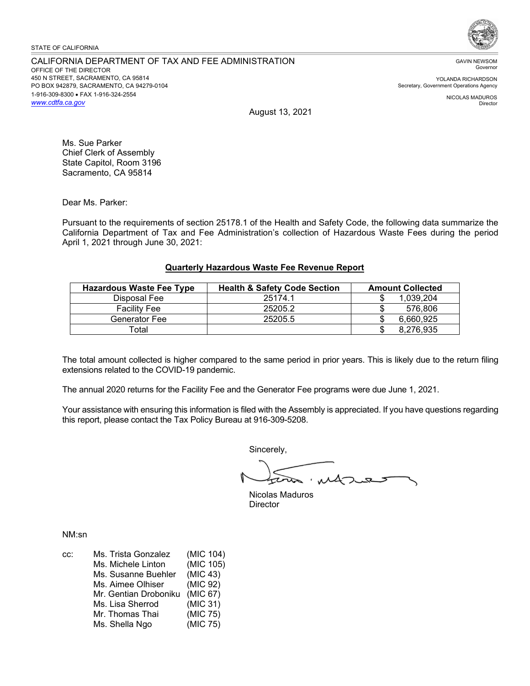#### STATE OF CALIFORNIA

## CALIFORNIA DEPARTMENT OF TAX AND FEE ADMINISTRATION OFFICE OF THE DIRECTOR 450 N STREET, SACRAMENTO, CA 95814 PO BOX 942879, SACRAMENTO, CA 94279-0104 1-916-309-8300 • FAX 1-916-324-2554 *<www.cdtfa.ca.gov>*



GAVIN NEWSOM Governor

YOLANDA RICHARDSON Secretary, Government Operations Agency

> NICOLAS MADUROS Director

August 13, 2021

Ms. Sue Parker Chief Clerk of Assembly State Capitol, Room 3196 Sacramento, CA 95814

Dear Ms. Parker:

Pursuant to the requirements of section 25178.1 of the Health and Safety Code, the following data summarize the California Department of Tax and Fee Administration's collection of Hazardous Waste Fees during the period April 1, 2021 through June 30, 2021:

# **Quarterly Hazardous Waste Fee Revenue Report**

| <b>Hazardous Waste Fee Type</b> | <b>Health &amp; Safety Code Section</b> | <b>Amount Collected</b> |
|---------------------------------|-----------------------------------------|-------------------------|
| Disposal Fee                    | 25174.1                                 | 1.039.204               |
| <b>Facility Fee</b>             | 25205.2                                 | 576.806                 |
| Generator Fee                   | 25205.5                                 | 6.660.925               |
| $\mathsf{Total}$                |                                         | 8.276.935               |

The total amount collected is higher compared to the same period in prior years. This is likely due to the return filing extensions related to the COVID-19 pandemic.

The annual 2020 returns for the Facility Fee and the Generator Fee programs were due June 1, 2021.

Your assistance with ensuring this information is filed with the Assembly is appreciated. If you have questions regarding this report, please contact the Tax Policy Bureau at 916-309-5208.

Sincerely,

Nicolas Maduros **Director** 

NM:sn

| CC: | Ms. Trista Gonzalez   | (MIC 104) |
|-----|-----------------------|-----------|
|     | Ms. Michele Linton    | (MIC 105) |
|     | Ms. Susanne Buehler   | (MIC 43)  |
|     | Ms. Aimee Olhiser     | (MIC 92)  |
|     | Mr. Gentian Droboniku | (MIC 67)  |
|     | Ms. Lisa Sherrod      | (MIC 31)  |
|     | Mr. Thomas Thai       | (MIC 75)  |
|     | Ms. Shella Ngo        | (MIC 75)  |
|     |                       |           |